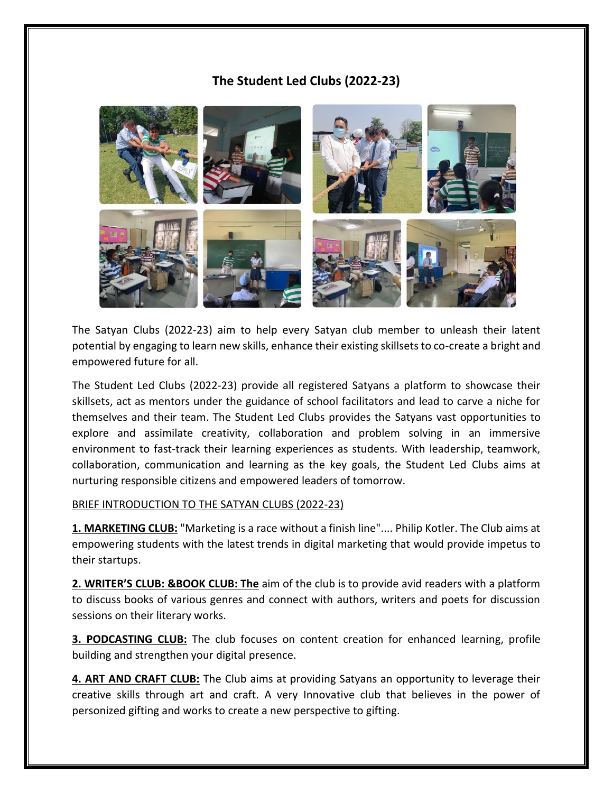## **The Student Led Clubs (2022-23)**



The Satyan Clubs (2022-23) aim to help every Satyan club member to unleash their latent potential by engaging to learn new skills, enhance their existing skillsets to co-create a bright and empowered future for all.

The Student Led Clubs (2022-23) provide all registered Satyans a platform to showcase their skillsets, act as mentors under the guidance of school facilitators and lead to carve a niche for themselves and their team. The Student Led Clubs provides the Satyans vast opportunities to explore and assimilate creativity, collaboration and problem solving in an immersive environment to fast-track their learning experiences as students. With leadership, teamwork, collaboration, communication and learning as the key goals, the Student Led Clubs aims at nurturing responsible citizens and empowered leaders of tomorrow.

## BRIEF INTRODUCTION TO THE SATYAN CLUBS (2022-23)

**1. MARKETING CLUB:** "Marketing is a race without a finish line".... Philip Kotler. The Club aims at empowering students with the latest trends in digital marketing that would provide impetus to their startups.

**2. WRITER'S CLUB: &BOOK CLUB: The** aim of the club is to provide avid readers with a platform to discuss books of various genres and connect with authors, writers and poets for discussion sessions on their literary works.

**3. PODCASTING CLUB:** The club focuses on content creation for enhanced learning, profile building and strengthen your digital presence.

**4. ART AND CRAFT CLUB:** The Club aims at providing Satyans an opportunity to leverage their creative skills through art and craft. A very Innovative club that believes in the power of personized gifting and works to create a new perspective to gifting.